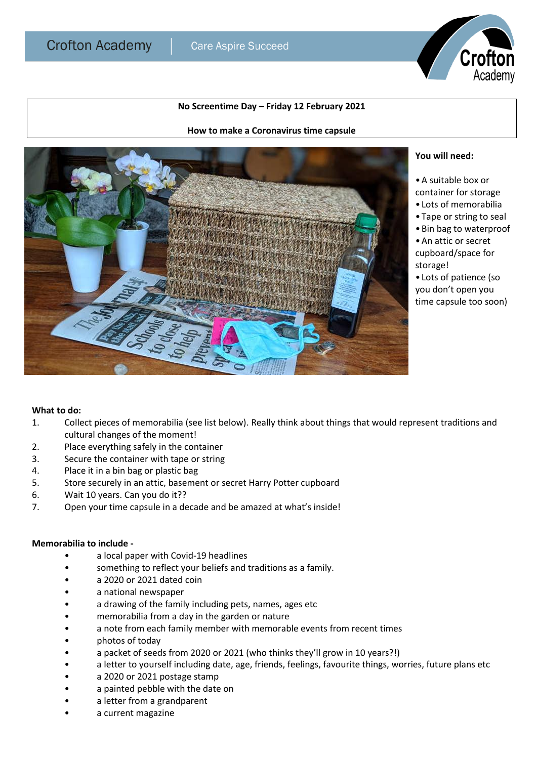## **No Screentime Day – Friday 12 February 2021**

**How to make a Coronavirus time capsule**



## **You will need:**

•A suitable box or

container for storage

Crofton

Academy

- Lots of memorabilia
- Tape or string to seal
- •Bin bag to waterproof
- •An attic or secret cupboard/space for storage!
- Lots of patience (so you don't open you time capsule too soon)

## **What to do:**

- 1. Collect pieces of memorabilia (see list below). Really think about things that would represent traditions and cultural changes of the moment!
- 2. Place everything safely in the container
- 3. Secure the container with tape or string
- 4. Place it in a bin bag or plastic bag
- 5. Store securely in an attic, basement or secret Harry Potter cupboard
- 6. Wait 10 years. Can you do it??
- 7. Open your time capsule in a decade and be amazed at what's inside!

## **Memorabilia to include -**

- a local paper with Covid-19 headlines
- something to reflect your beliefs and traditions as a family.
- a 2020 or 2021 dated coin
- a national newspaper
- a drawing of the family including pets, names, ages etc
- memorabilia from a day in the garden or nature
- a note from each family member with memorable events from recent times
- photos of today
- a packet of seeds from 2020 or 2021 (who thinks they'll grow in 10 years?!)
- a letter to yourself including date, age, friends, feelings, favourite things, worries, future plans etc
- a 2020 or 2021 postage stamp
- a painted pebble with the date on
- a letter from a grandparent
- a current magazine